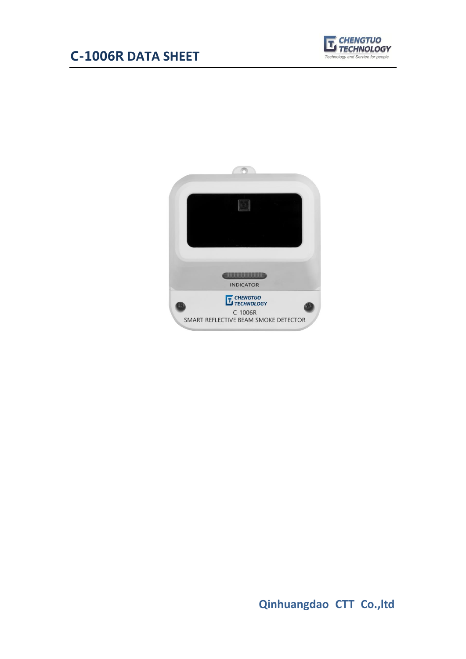# C-1006R **DATA SHEET**





**Qinhuangdao CTT Co.,ltd**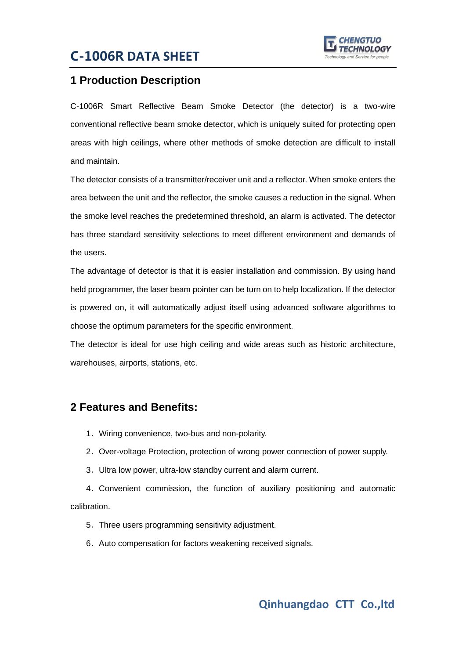### C-1006R **DATA SHEET**



#### **1 Production Description**

C-1006R Smart Reflective Beam Smoke Detector (the detector) is a two-wire conventional reflective beam smoke detector, which is uniquely suited for protecting open areas with high ceilings, where other methods of smoke detection are difficult to install and maintain.

The detector consists of a transmitter/receiver unit and a reflector. When smoke enters the area between the unit and the reflector, the smoke causes a reduction in the signal. When the smoke level reaches the predetermined threshold, an alarm is activated. The detector has three standard sensitivity selections to meet different environment and demands of the users.

The advantage of detector is that it is easier installation and commission. By using hand held programmer, the laser beam pointer can be turn on to help localization. If the detector is powered on, it will automatically adjust itself using advanced software algorithms to choose the optimum parameters for the specific environment.

The detector is ideal for use high ceiling and wide areas such as historic architecture, warehouses, airports, stations, etc.

#### **2 Features and Benefits:**

- 1.Wiring convenience, two-bus and non-polarity.
- 2.Over-voltage Protection, protection of wrong power connection of power supply.
- 3.Ultra low power, ultra-low standby current and alarm current.

4.Convenient commission, the function of auxiliary positioning and automatic calibration.

- 5.Three users programming sensitivity adjustment.
- 6.Auto compensation for factors weakening received signals.